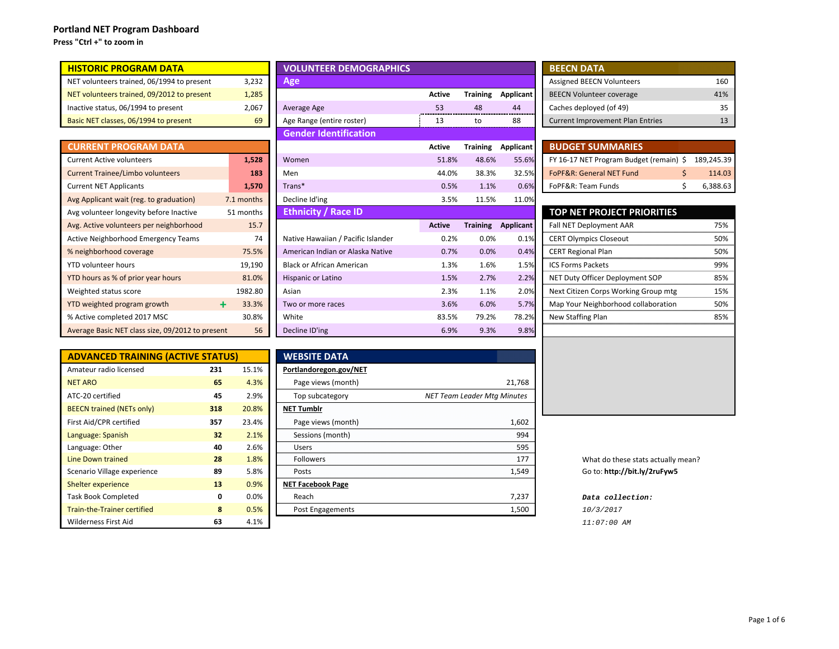**Press "Ctrl <sup>+</sup>" to zoom in**

| <b>HISTORIC PROGRAM DATA</b>                     |             | <b>VOLUNTEER DEMOGRAPHICS</b>      |               |                 |                           | <b>BEECN DATA</b>                           |            |
|--------------------------------------------------|-------------|------------------------------------|---------------|-----------------|---------------------------|---------------------------------------------|------------|
| NET volunteers trained, 06/1994 to present       | 3,232       | Age                                |               |                 |                           | Assigned BEECN Volunteers                   | 160        |
| NET volunteers trained, 09/2012 to present       | 1,285       |                                    | Active        | <b>Training</b> | Applicant                 | <b>BEECN Volunteer coverage</b>             | 41%        |
| Inactive status, 06/1994 to present              | 2,067       | Average Age                        | 53            | 48              | 44                        | Caches deployed (of 49)                     | 35         |
| Basic NET classes, 06/1994 to present            | 69          | Age Range (entire roster)          | 13            | to              | 88                        | <b>Current Improvement Plan Entries</b>     | 13         |
|                                                  |             | <b>Gender Identification</b>       |               |                 |                           |                                             |            |
| <b>CURRENT PROGRAM DATA</b>                      |             |                                    | Active        |                 | <b>Training Applicant</b> | <b>BUDGET SUMMARIES</b>                     |            |
| <b>Current Active volunteers</b>                 | 1,528       | Women                              | 51.8%         | 48.6%           | 55.6%                     | FY 16-17 NET Program Budget (remain)<br>\$. | 189,245.39 |
| <b>Current Trainee/Limbo volunteers</b>          | 183         | Men                                | 44.0%         | 38.3%           | 32.5%                     | FoPF&R: General NET Fund                    | 114.03     |
| <b>Current NET Applicants</b>                    | 1,570       | Trans*                             | 0.5%          | 1.1%            | 0.6%                      | FoPF&R: Team Funds                          | 6,388.63   |
| Avg Applicant wait (reg. to graduation)          | 7.1 months  | Decline Id'ing                     | 3.5%          | 11.5%           | 11.0%                     |                                             |            |
| Avg volunteer longevity before Inactive          | 51 months   | <b>Ethnicity / Race ID</b>         |               |                 |                           | <b>TOP NET PROJECT PRIORITIES</b>           |            |
| Avg. Active volunteers per neighborhood          | 15.7        |                                    | <b>Active</b> |                 | <b>Training Applicant</b> | Fall NET Deployment AAR                     | 75%        |
| Active Neighborhood Emergency Teams              | 74          | Native Hawaiian / Pacific Islander | 0.2%          | 0.0%            | 0.1%                      | <b>CERT Olympics Closeout</b>               | 50%        |
| % neighborhood coverage                          | 75.5%       | American Indian or Alaska Native   | 0.7%          | 0.0%            | 0.4%                      | <b>CERT Regional Plan</b>                   | 50%        |
| <b>YTD volunteer hours</b>                       | 19,190      | <b>Black or African American</b>   | 1.3%          | 1.6%            | 1.5%                      | <b>ICS Forms Packets</b>                    | 99%        |
| YTD hours as % of prior year hours               | 81.0%       | Hispanic or Latino                 | 1.5%          | 2.7%            | 2.2%                      | NET Duty Officer Deployment SOP             | 85%        |
| Weighted status score                            | 1982.80     | Asian                              | 2.3%          | 1.1%            | 2.0%                      | Next Citizen Corps Working Group mtg        | 15%        |
| YTD weighted program growth                      | 33.3%<br>÷. | Two or more races                  | 3.6%          | 6.0%            | 5.7%                      | Map Your Neighborhood collaboration         | 50%        |
| % Active completed 2017 MSC                      | 30.8%       | White                              | 83.5%         | 79.2%           | 78.2%                     | New Staffing Plan                           | 85%        |
| Average Basic NET class size, 09/2012 to present | 56          | Decline ID'ing                     | 6.9%          | 9.3%            | 9.8%                      |                                             |            |

| 09/2012 to present        |     | 1,285      |                                    | <b>Active</b> | <b>Training</b>             | Applicant                 | <b>BEECN Volunteer coverage</b>         | 41%       |
|---------------------------|-----|------------|------------------------------------|---------------|-----------------------------|---------------------------|-----------------------------------------|-----------|
| to present                |     | 2,067      | Average Age                        | 53            | 48                          | 44                        | Caches deployed (of 49)                 | 35        |
| 94 to present             |     | 69         | Age Range (entire roster)          | 13            | to                          | 88                        | <b>Current Improvement Plan Entries</b> | 13        |
|                           |     |            | <b>Gender Identification</b>       |               |                             |                           |                                         |           |
| <b>M DATA</b>             |     |            |                                    | <b>Active</b> |                             | <b>Training Applicant</b> | <b>BUDGET SUMMARIES</b>                 |           |
|                           |     | 1,528      | Women                              | 51.8%         | 48.6%                       | 55.6%                     | FY 16-17 NET Program Budget (remain) \$ | 189,245.3 |
| olunteers                 |     | 183        | Men                                | 44.0%         | 38.3%                       | 32.5%                     | FoPF&R: General NET Fund                | 114.0     |
|                           |     | 1,570      | Trans*                             | 0.5%          | 1.1%                        | 0.6%                      | FoPF&R: Team Funds                      | 6,388.6   |
| to graduation)            |     | 7.1 months | Decline Id'ing                     | 3.5%          | 11.5%                       | 11.0%                     |                                         |           |
| before Inactive           |     | 51 months  | <b>Ethnicity / Race ID</b>         |               |                             |                           | <b>TOP NET PROJECT PRIORITIES</b>       |           |
| er neighborhood           |     | 15.7       |                                    | <b>Active</b> |                             | <b>Training Applicant</b> | Fall NET Deployment AAR                 | 75%       |
| ergency Teams             |     | 74         | Native Hawaiian / Pacific Islander | 0.2%          | 0.0%                        | 0.1%                      | <b>CERT Olympics Closeout</b>           | 50%       |
| e;                        |     | 75.5%      | American Indian or Alaska Native   | 0.7%          | 0.0%                        | 0.4%                      | <b>CERT Regional Plan</b>               | 50%       |
|                           |     | 19,190     | <b>Black or African American</b>   | 1.3%          | 1.6%                        | 1.5%                      | <b>ICS Forms Packets</b>                | 99%       |
| ear hours                 |     | 81.0%      | Hispanic or Latino                 | 1.5%          | 2.7%                        | 2.2%                      | NET Duty Officer Deployment SOP         | 85%       |
|                           |     | 1982.80    | Asian                              | 2.3%          | 1.1%                        | 2.0%                      | Next Citizen Corps Working Group mtg    | 15%       |
| rowth                     | ٠   | 33.3%      | Two or more races                  | 3.6%          | 6.0%                        | 5.7%                      | Map Your Neighborhood collaboration     | 50%       |
| 7 MSC                     |     | 30.8%      | White                              | 83.5%         | 79.2%                       | 78.2%                     | New Staffing Plan                       | 85%       |
| size, 09/2012 to present  |     | 56         | Decline ID'ing                     | 6.9%          | 9.3%                        | 9.8%                      |                                         |           |
|                           |     |            |                                    |               |                             |                           |                                         |           |
| <b>NG (ACTIVE STATUS)</b> |     |            | <b>WEBSITE DATA</b>                |               |                             |                           |                                         |           |
|                           | 231 | 15.1%      | Portlandoregon.gov/NET             |               |                             |                           |                                         |           |
|                           | 65  | 4.3%       | Page views (month)                 |               |                             | 21,768                    |                                         |           |
|                           | 45  | 2.9%       | Top subcategory                    |               | NET Team Leader Mta Minutes |                           |                                         |           |

| <b>BEECN DATA</b>                       |     |
|-----------------------------------------|-----|
| <b>Assigned BEECN Volunteers</b>        | 160 |
| <b>BEECN Volunteer coverage</b>         | 41% |
| Caches deployed (of 49)                 | 35  |
| <b>Current Improvement Plan Entries</b> | 13  |

| <b>BUDGET SUMMARIES</b>                            |          |
|----------------------------------------------------|----------|
| FY 16-17 NET Program Budget (remain) \$ 189,245.39 |          |
| FoPF&R: General NET Fund                           | 114.03   |
| FoPF&R: Team Funds                                 | 6,388.63 |

| TOP NET PROJECT PRIORITIES           |     |
|--------------------------------------|-----|
| <b>Fall NET Deployment AAR</b>       | 75% |
| <b>CERT Olympics Closeout</b>        | 50% |
| <b>CERT Regional Plan</b>            | 50% |
| <b>ICS Forms Packets</b>             | 99% |
| NET Duty Officer Deployment SOP      | 85% |
| Next Citizen Corps Working Group mtg | 15% |
| Map Your Neighborhood collaboration  | 50% |
| New Staffing Plan                    | 85% |
|                                      |     |

| <b>ADVANCED TRAINING (ACTIVE STATUS)</b> | <b>WEBSITE DATA</b> |       |                          |
|------------------------------------------|---------------------|-------|--------------------------|
| Amateur radio licensed                   | 231                 | 15.1% | Portlandoregon.gov       |
| <b>NET ARO</b>                           | 65                  | 4.3%  | Page views (mor          |
| ATC-20 certified                         | 45                  | 2.9%  | Top subcategory          |
| <b>BEECN trained (NETs only)</b>         | 318                 | 20.8% | <b>NET Tumblr</b>        |
| First Aid/CPR certified                  | 357                 | 23.4% | Page views (mor          |
| Language: Spanish                        | 32                  | 2.1%  | Sessions (month          |
| Language: Other                          | 40                  | 2.6%  | <b>Users</b>             |
| Line Down trained                        | 28                  | 1.8%  | <b>Followers</b>         |
| Scenario Village experience              | 89                  | 5.8%  | Posts                    |
| Shelter experience                       | 13                  | 0.9%  | <b>NET Facebook Page</b> |
| <b>Task Book Completed</b>               | $\Omega$            | 0.0%  | Reach                    |
| <b>Train-the-Trainer certified</b>       | 8                   | 0.5%  | Post Engagemen           |
| Wilderness First Aid                     | 63                  | 4.1%  |                          |

| <b>ADVANCED TRAINING (ACTIVE STATUS)</b> |                 |       | <b>WEBSITE DATA</b>      |                                    |                 |
|------------------------------------------|-----------------|-------|--------------------------|------------------------------------|-----------------|
| Amateur radio licensed                   | 231             | 15.1% | Portlandoregon.gov/NET   |                                    |                 |
| <b>NET ARO</b>                           | 65              | 4.3%  | Page views (month)       | 21,768                             |                 |
| ATC-20 certified                         | 45              | 2.9%  | Top subcategory          | <b>NET Team Leader Mtg Minutes</b> |                 |
| <b>BEECN trained (NETs only)</b>         | 318             | 20.8% | <b>NET Tumblr</b>        |                                    |                 |
| First Aid/CPR certified                  | 357             | 23.4% | Page views (month)       | 1,602                              |                 |
| Language: Spanish                        | 32 <sub>2</sub> | 2.1%  | Sessions (month)         | 994                                |                 |
| Language: Other                          | 40              | 2.6%  | Users                    | 595                                |                 |
| Line Down trained                        | 28              | 1.8%  | <b>Followers</b>         | 177                                | What do these   |
| Scenario Village experience              | 89              | 5.8%  | Posts                    | 1,549                              | Go to: http://k |
| Shelter experience                       | 13              | 0.9%  | <b>NET Facebook Page</b> |                                    |                 |
| Task Book Completed                      | 0               | 0.0%  | Reach                    | 7,237                              | Data collec     |
| Train-the-Trainer certified              | 8               | 0.5%  | Post Engagements         | 1,500                              | 10/3/2017       |
| Wilderness First Aid                     | 63              | 4.1%  |                          |                                    | 11:07:00 AM     |

t do these stats actually mean? Go to: http://bit.ly/2ruFyw5

### Data collection: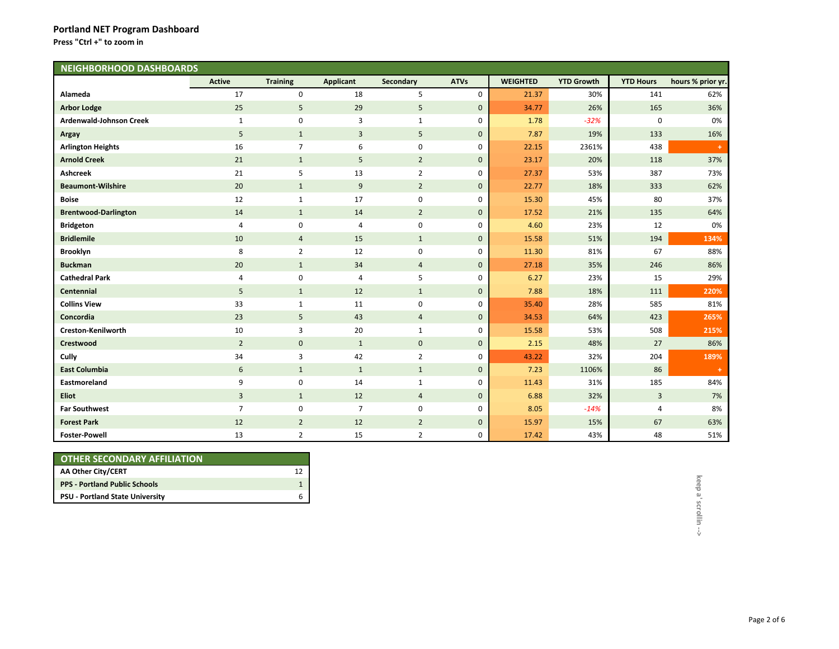**Press "Ctrl <sup>+</sup>" to zoom in**

| <b>NEIGHBORHOOD DASHBOARDS</b> |                |                 |                  |                |              |                 |                   |                         |                   |
|--------------------------------|----------------|-----------------|------------------|----------------|--------------|-----------------|-------------------|-------------------------|-------------------|
|                                | <b>Active</b>  | <b>Training</b> | <b>Applicant</b> | Secondary      | <b>ATVs</b>  | <b>WEIGHTED</b> | <b>YTD Growth</b> | <b>YTD Hours</b>        | hours % prior yr. |
| Alameda                        | 17             | $\mathbf 0$     | 18               | 5              | $\mathbf 0$  | 21.37           | 30%               | 141                     | 62%               |
| <b>Arbor Lodge</b>             | 25             | 5               | 29               | 5              | $\mathbf{0}$ | 34.77           | 26%               | 165                     | 36%               |
| Ardenwald-Johnson Creek        | 1              | 0               | 3                | $\mathbf{1}$   | $\mathbf 0$  | 1.78            | $-32%$            | 0                       | 0%                |
| Argay                          | 5              | $\mathbf{1}$    | $\overline{3}$   | 5              | $\mathbf{0}$ | 7.87            | 19%               | 133                     | 16%               |
| <b>Arlington Heights</b>       | 16             | $\overline{7}$  | 6                | 0              | $\mathbf 0$  | 22.15           | 2361%             | 438                     |                   |
| <b>Arnold Creek</b>            | 21             | $\mathbf{1}$    | 5                | $\overline{2}$ | $\mathbf{0}$ | 23.17           | 20%               | 118                     | 37%               |
| <b>Ashcreek</b>                | 21             | 5               | 13               | $\overline{2}$ | $\mathbf 0$  | 27.37           | 53%               | 387                     | 73%               |
| <b>Beaumont-Wilshire</b>       | 20             | $\mathbf{1}$    | 9                | $\overline{2}$ | $\mathbf 0$  | 22.77           | 18%               | 333                     | 62%               |
| <b>Boise</b>                   | 12             | $\mathbf{1}$    | 17               | 0              | $\mathbf 0$  | 15.30           | 45%               | 80                      | 37%               |
| <b>Brentwood-Darlington</b>    | 14             | $\mathbf{1}$    | 14               | $\overline{2}$ | $\mathbf 0$  | 17.52           | 21%               | 135                     | 64%               |
| <b>Bridgeton</b>               | $\overline{4}$ | 0               | $\overline{4}$   | 0              | $\mathbf 0$  | 4.60            | 23%               | 12                      | 0%                |
| <b>Bridlemile</b>              | 10             | $\overline{4}$  | 15               | $\mathbf{1}$   | $\mathbf{0}$ | 15.58           | 51%               | 194                     | 134%              |
| <b>Brooklyn</b>                | 8              | $\overline{2}$  | 12               | $\pmb{0}$      | $\mathbf 0$  | 11.30           | 81%               | 67                      | 88%               |
| <b>Buckman</b>                 | 20             | $\mathbf{1}$    | 34               | $\overline{4}$ | $\mathbf 0$  | 27.18           | 35%               | 246                     | 86%               |
| <b>Cathedral Park</b>          | $\overline{4}$ | 0               | $\overline{4}$   | 5              | $\mathbf 0$  | 6.27            | 23%               | 15                      | 29%               |
| Centennial                     | 5              | $\mathbf{1}$    | 12               | $\mathbf{1}$   | $\mathbf{0}$ | 7.88            | 18%               | 111                     | 220%              |
| <b>Collins View</b>            | 33             | $\mathbf{1}$    | 11               | $\pmb{0}$      | $\mathbf 0$  | 35.40           | 28%               | 585                     | 81%               |
| Concordia                      | 23             | 5               | 43               | $\overline{4}$ | $\mathbf{0}$ | 34.53           | 64%               | 423                     | 265%              |
| Creston-Kenilworth             | 10             | 3               | 20               | $\mathbf{1}$   | $\mathbf 0$  | 15.58           | 53%               | 508                     | 215%              |
| Crestwood                      | $\overline{2}$ | $\mathbf 0$     | $\mathbf{1}$     | $\mathbf 0$    | $\mathbf 0$  | 2.15            | 48%               | 27                      | 86%               |
| Cully                          | 34             | 3               | 42               | $\overline{2}$ | 0            | 43.22           | 32%               | 204                     | 189%              |
| <b>East Columbia</b>           | 6              | $\mathbf{1}$    | $\mathbf{1}$     | $\mathbf{1}$   | $\mathbf 0$  | 7.23            | 1106%             | 86                      | $+$               |
| Eastmoreland                   | 9              | 0               | 14               | $\mathbf{1}$   | $\mathbf 0$  | 11.43           | 31%               | 185                     | 84%               |
| <b>Eliot</b>                   | $\overline{3}$ | $\mathbf{1}$    | 12               | $\overline{4}$ | $\mathbf 0$  | 6.88            | 32%               | $\overline{\mathbf{3}}$ | 7%                |
| <b>Far Southwest</b>           | $\overline{7}$ | 0               | $\overline{7}$   | 0              | $\mathbf 0$  | 8.05            | $-14%$            | 4                       | 8%                |
| <b>Forest Park</b>             | 12             | $\overline{2}$  | 12               | $\overline{2}$ | $\mathbf 0$  | 15.97           | 15%               | 67                      | 63%               |
| <b>Foster-Powell</b>           | 13             | $\overline{2}$  | 15               | $\overline{2}$ | $\mathbf 0$  | 17.42           | 43%               | 48                      | 51%               |

| <b>OTHER SECONDARY AFFILIATION</b>     |    |
|----------------------------------------|----|
| AA Other City/CERT                     | 12 |
| <b>PPS - Portland Public Schools</b>   |    |
| <b>PSU - Portland State University</b> | 6  |

**keep a' scrollin ‐‐ >**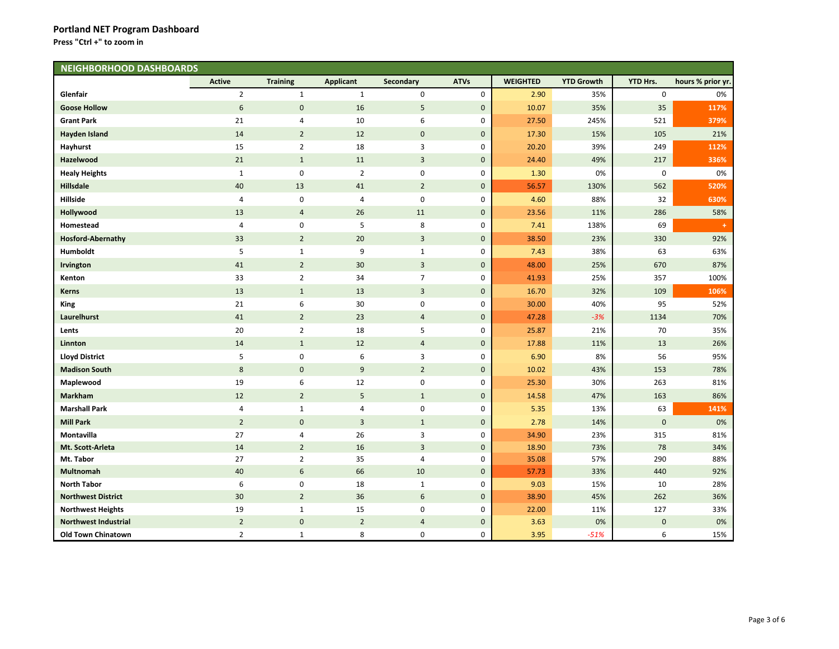| <b>NEIGHBORHOOD DASHBOARDS</b> |                  |                  |                         |                  |                  |                 |                   |                 |                   |
|--------------------------------|------------------|------------------|-------------------------|------------------|------------------|-----------------|-------------------|-----------------|-------------------|
|                                | <b>Active</b>    | <b>Training</b>  | <b>Applicant</b>        | Secondary        | <b>ATVs</b>      | <b>WEIGHTED</b> | <b>YTD Growth</b> | <b>YTD Hrs.</b> | hours % prior yr. |
| Glenfair                       | $\overline{2}$   | $\mathbf{1}$     | $\mathbf{1}$            | $\pmb{0}$        | $\pmb{0}$        | 2.90            | 35%               | $\pmb{0}$       | 0%                |
| <b>Goose Hollow</b>            | $\boldsymbol{6}$ | $\mathbf 0$      | 16                      | 5                | $\pmb{0}$        | 10.07           | 35%               | 35              | 117%              |
| <b>Grant Park</b>              | 21               | $\overline{4}$   | 10                      | 6                | $\pmb{0}$        | 27.50           | 245%              | 521             | 379%              |
| <b>Hayden Island</b>           | 14               | $\overline{2}$   | 12                      | $\mathbf 0$      | $\pmb{0}$        | 17.30           | 15%               | 105             | 21%               |
| Hayhurst                       | 15               | $\overline{2}$   | 18                      | 3                | 0                | 20.20           | 39%               | 249             | 112%              |
| Hazelwood                      | 21               | $\mathbf{1}$     | 11                      | $\overline{3}$   | $\pmb{0}$        | 24.40           | 49%               | 217             | 336%              |
| <b>Healy Heights</b>           | $\mathbf{1}$     | $\pmb{0}$        | $\overline{2}$          | $\pmb{0}$        | $\boldsymbol{0}$ | 1.30            | 0%                | 0               | 0%                |
| Hillsdale                      | 40               | 13               | 41                      | $\overline{2}$   | $\pmb{0}$        | 56.57           | 130%              | 562             | 520%              |
| Hillside                       | $\sqrt{4}$       | $\pmb{0}$        | $\overline{\mathbf{4}}$ | $\pmb{0}$        | $\pmb{0}$        | 4.60            | 88%               | 32              | 630%              |
| Hollywood                      | 13               | $\overline{4}$   | 26                      | 11               | $\pmb{0}$        | 23.56           | 11%               | 286             | 58%               |
| Homestead                      | $\sqrt{4}$       | $\mathbf 0$      | 5                       | 8                | 0                | 7.41            | 138%              | 69              | $\ddot{}$         |
| <b>Hosford-Abernathy</b>       | 33               | $\overline{2}$   | 20                      | $\overline{3}$   | $\pmb{0}$        | 38.50           | 23%               | 330             | 92%               |
| Humboldt                       | 5                | $\mathbf{1}$     | 9                       | $\mathbf{1}$     | $\boldsymbol{0}$ | 7.43            | 38%               | 63              | 63%               |
| Irvington                      | 41               | $\overline{2}$   | 30                      | $\overline{3}$   | $\pmb{0}$        | 48.00           | 25%               | 670             | 87%               |
| Kenton                         | 33               | $\overline{2}$   | 34                      | $\overline{7}$   | $\pmb{0}$        | 41.93           | 25%               | 357             | 100%              |
| <b>Kerns</b>                   | 13               | $\mathbf{1}$     | 13                      | $\overline{3}$   | $\pmb{0}$        | 16.70           | 32%               | 109             | 106%              |
| King                           | 21               | 6                | 30                      | $\bf{0}$         | 0                | 30.00           | 40%               | 95              | 52%               |
| Laurelhurst                    | 41               | $\overline{2}$   | 23                      | $\overline{4}$   | $\pmb{0}$        | 47.28           | $-3%$             | 1134            | 70%               |
| Lents                          | 20               | $\overline{2}$   | 18                      | 5                | $\pmb{0}$        | 25.87           | 21%               | 70              | 35%               |
| Linnton                        | 14               | $\mathbf{1}$     | 12                      | $\overline{4}$   | $\pmb{0}$        | 17.88           | 11%               | 13              | 26%               |
| <b>Lloyd District</b>          | 5                | $\boldsymbol{0}$ | 6                       | 3                | $\pmb{0}$        | 6.90            | 8%                | 56              | 95%               |
| <b>Madison South</b>           | $\bf 8$          | $\mathbf 0$      | $\boldsymbol{9}$        | $\overline{2}$   | $\pmb{0}$        | 10.02           | 43%               | 153             | 78%               |
| Maplewood                      | 19               | 6                | 12                      | $\boldsymbol{0}$ | $\pmb{0}$        | 25.30           | 30%               | 263             | 81%               |
| Markham                        | 12               | $\overline{2}$   | 5                       | $\mathbf{1}$     | $\pmb{0}$        | 14.58           | 47%               | 163             | 86%               |
| <b>Marshall Park</b>           | $\overline{a}$   | $\mathbf{1}$     | 4                       | $\boldsymbol{0}$ | 0                | 5.35            | 13%               | 63              | 141%              |
| <b>Mill Park</b>               | $\overline{2}$   | $\mathbf 0$      | 3                       | $\mathbf{1}$     | $\pmb{0}$        | 2.78            | 14%               | $\mathbf{0}$    | 0%                |
| Montavilla                     | 27               | $\overline{a}$   | 26                      | $\mathsf 3$      | $\pmb{0}$        | 34.90           | 23%               | 315             | 81%               |
| Mt. Scott-Arleta               | 14               | $\overline{2}$   | 16                      | $\overline{3}$   | $\pmb{0}$        | 18.90           | 73%               | 78              | 34%               |
| Mt. Tabor                      | 27               | $\overline{2}$   | 35                      | 4                | $\mathbf 0$      | 35.08           | 57%               | 290             | 88%               |
| Multnomah                      | 40               | $\sqrt{6}$       | 66                      | 10               | $\pmb{0}$        | 57.73           | 33%               | 440             | 92%               |
| <b>North Tabor</b>             | 6                | $\boldsymbol{0}$ | 18                      | $\mathbf{1}$     | 0                | 9.03            | 15%               | 10              | 28%               |
| <b>Northwest District</b>      | 30               | $\overline{2}$   | 36                      | 6                | $\pmb{0}$        | 38.90           | 45%               | 262             | 36%               |
| <b>Northwest Heights</b>       | 19               | $\mathbf{1}$     | 15                      | $\pmb{0}$        | $\pmb{0}$        | 22.00           | 11%               | 127             | 33%               |
| <b>Northwest Industrial</b>    | $\overline{2}$   | $\mathbf 0$      | $\overline{2}$          | $\overline{4}$   | $\mathbf 0$      | 3.63            | 0%                | $\mathbf 0$     | 0%                |
| <b>Old Town Chinatown</b>      | $\overline{2}$   | $\mathbf{1}$     | 8                       | $\mathbf 0$      | $\mathbf 0$      | 3.95            | $-51%$            | 6               | 15%               |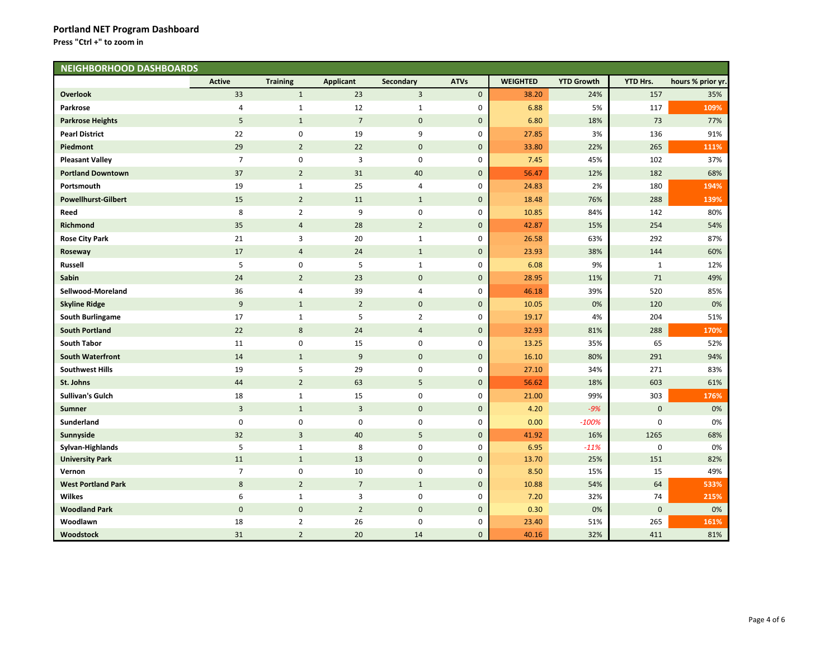| <b>NEIGHBORHOOD DASHBOARDS</b> |                |                 |                  |                |              |                 |                   |                 |                  |
|--------------------------------|----------------|-----------------|------------------|----------------|--------------|-----------------|-------------------|-----------------|------------------|
|                                | <b>Active</b>  | <b>Training</b> | <b>Applicant</b> | Secondary      | <b>ATVs</b>  | <b>WEIGHTED</b> | <b>YTD Growth</b> | <b>YTD Hrs.</b> | hours % prior yr |
| Overlook                       | 33             | $\mathbf{1}$    | 23               | $\overline{3}$ | $\mathbf{0}$ | 38.20           | 24%               | 157             | 35%              |
| Parkrose                       | 4              | $1\,$           | 12               | $\mathbf{1}$   | $\mathbf 0$  | 6.88            | 5%                | 117             | 109%             |
| <b>Parkrose Heights</b>        | 5              | $\mathbf{1}$    | $\overline{7}$   | $\mathbf{0}$   | $\pmb{0}$    | 6.80            | 18%               | 73              | 77%              |
| <b>Pearl District</b>          | 22             | 0               | 19               | 9              | $\mathbf 0$  | 27.85           | 3%                | 136             | 91%              |
| Piedmont                       | 29             | $\overline{2}$  | 22               | $\mathbf 0$    | $\pmb{0}$    | 33.80           | 22%               | 265             | 111%             |
| <b>Pleasant Valley</b>         | $\overline{7}$ | 0               | 3                | $\mathbf 0$    | 0            | 7.45            | 45%               | 102             | 37%              |
| <b>Portland Downtown</b>       | 37             | $\overline{2}$  | 31               | 40             | $\mathbf{0}$ | 56.47           | 12%               | 182             | 68%              |
| Portsmouth                     | 19             | $\mathbf{1}$    | 25               | 4              | $\mathbf 0$  | 24.83           | 2%                | 180             | 194%             |
| <b>Powellhurst-Gilbert</b>     | 15             | $\overline{2}$  | 11               | $\mathbf{1}$   | $\pmb{0}$    | 18.48           | 76%               | 288             | 139%             |
| Reed                           | 8              | $\overline{2}$  | 9                | 0              | $\pmb{0}$    | 10.85           | 84%               | 142             | 80%              |
| Richmond                       | 35             | $\overline{4}$  | 28               | $\overline{2}$ | $\mathbf 0$  | 42.87           | 15%               | 254             | 54%              |
| <b>Rose City Park</b>          | 21             | 3               | 20               | $\mathbf{1}$   | $\pmb{0}$    | 26.58           | 63%               | 292             | 87%              |
| Roseway                        | 17             | $\overline{4}$  | 24               | $\mathbf{1}$   | $\mathbf 0$  | 23.93           | 38%               | 144             | 60%              |
| <b>Russell</b>                 | 5              | 0               | 5                | $\mathbf{1}$   | $\pmb{0}$    | 6.08            | 9%                | $\mathbf{1}$    | 12%              |
| Sabin                          | 24             | $\overline{2}$  | 23               | $\pmb{0}$      | $\pmb{0}$    | 28.95           | 11%               | 71              | 49%              |
| Sellwood-Moreland              | 36             | 4               | 39               | 4              | $\pmb{0}$    | 46.18           | 39%               | 520             | 85%              |
| <b>Skyline Ridge</b>           | 9              | $\mathbf{1}$    | $\overline{2}$   | $\mathbf 0$    | $\pmb{0}$    | 10.05           | 0%                | 120             | 0%               |
| <b>South Burlingame</b>        | 17             | $\mathbf{1}$    | 5                | $\overline{2}$ | $\pmb{0}$    | 19.17           | 4%                | 204             | 51%              |
| <b>South Portland</b>          | 22             | 8               | 24               | $\overline{a}$ | $\pmb{0}$    | 32.93           | 81%               | 288             | 170%             |
| <b>South Tabor</b>             | 11             | $\mathbf 0$     | 15               | $\bf{0}$       | $\pmb{0}$    | 13.25           | 35%               | 65              | 52%              |
| <b>South Waterfront</b>        | 14             | $\mathbf{1}$    | 9                | $\mathbf{0}$   | $\pmb{0}$    | 16.10           | 80%               | 291             | 94%              |
| <b>Southwest Hills</b>         | 19             | 5               | 29               | $\bf{0}$       | $\pmb{0}$    | 27.10           | 34%               | 271             | 83%              |
| St. Johns                      | 44             | $\overline{2}$  | 63               | 5              | $\pmb{0}$    | 56.62           | 18%               | 603             | 61%              |
| <b>Sullivan's Gulch</b>        | 18             | $\mathbf{1}$    | 15               | $\mathbf 0$    | $\pmb{0}$    | 21.00           | 99%               | 303             | 176%             |
| Sumner                         | $\overline{3}$ | $1\,$           | $\overline{3}$   | $\pmb{0}$      | $\pmb{0}$    | 4.20            | $-9%$             | $\mathbf 0$     | 0%               |
| Sunderland                     | $\mathbf 0$    | 0               | 0                | 0              | $\mathbf 0$  | 0.00            | $-100%$           | 0               | 0%               |
| Sunnyside                      | 32             | 3               | 40               | 5              | $\pmb{0}$    | 41.92           | 16%               | 1265            | 68%              |
| Sylvan-Highlands               | 5              | $\mathbf{1}$    | 8                | $\mathbf 0$    | $\pmb{0}$    | 6.95            | $-11%$            | 0               | 0%               |
| <b>University Park</b>         | 11             | $\mathbf{1}$    | 13               | $\mathbf 0$    | $\mathbf 0$  | 13.70           | 25%               | 151             | 82%              |
| Vernon                         | $\overline{7}$ | $\mathbf 0$     | 10               | $\bf{0}$       | $\pmb{0}$    | 8.50            | 15%               | 15              | 49%              |
| <b>West Portland Park</b>      | $\,8\,$        | $\overline{2}$  | $7\overline{ }$  | $\mathbf{1}$   | $\mathbf 0$  | 10.88           | 54%               | 64              | 533%             |
| Wilkes                         | 6              | $\mathbf 1$     | 3                | $\pmb{0}$      | $\pmb{0}$    | 7.20            | 32%               | 74              | 215%             |
| <b>Woodland Park</b>           | $\pmb{0}$      | $\mathbf 0$     | $\overline{2}$   | $\mathbf 0$    | $\pmb{0}$    | 0.30            | 0%                | $\mathbf 0$     | 0%               |
| Woodlawn                       | 18             | $\overline{2}$  | 26               | 0              | $\mathbf 0$  | 23.40           | 51%               | 265             | 161%             |
| Woodstock                      | 31             | $\overline{2}$  | 20               | 14             | $\mathbf{0}$ | 40.16           | 32%               | 411             | 81%              |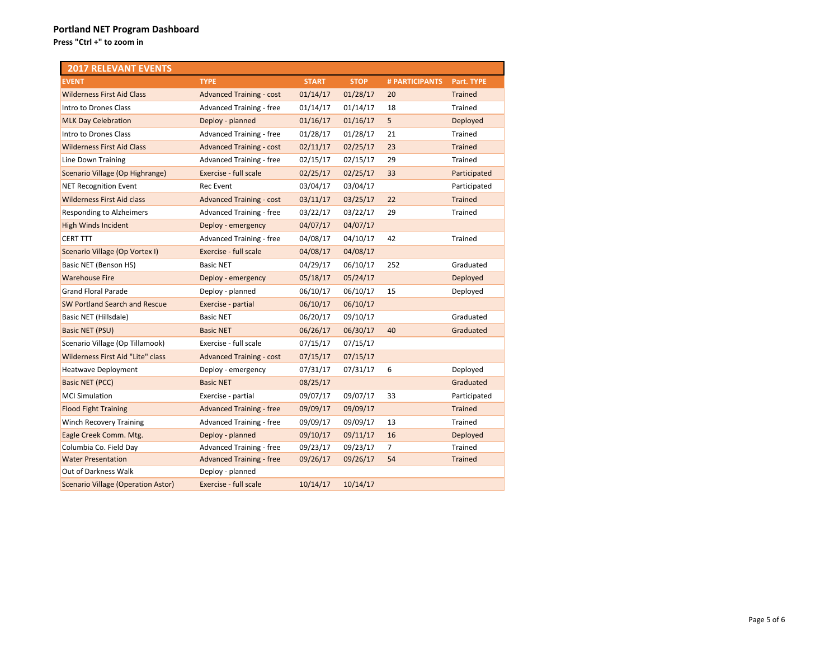| <b>2017 RELEVANT EVENTS</b>               |                                 |              |             |                |                |
|-------------------------------------------|---------------------------------|--------------|-------------|----------------|----------------|
| <b>EVENT</b>                              | <b>TYPE</b>                     | <b>START</b> | <b>STOP</b> | # PARTICIPANTS | Part. TYPE     |
| <b>Wilderness First Aid Class</b>         | <b>Advanced Training - cost</b> | 01/14/17     | 01/28/17    | 20             | Trained        |
| Intro to Drones Class                     | <b>Advanced Training - free</b> | 01/14/17     | 01/14/17    | 18             | Trained        |
| <b>MLK Day Celebration</b>                | Deploy - planned                | 01/16/17     | 01/16/17    | 5              | Deployed       |
| Intro to Drones Class                     | Advanced Training - free        | 01/28/17     | 01/28/17    | 21             | Trained        |
| <b>Wilderness First Aid Class</b>         | <b>Advanced Training - cost</b> | 02/11/17     | 02/25/17    | 23             | <b>Trained</b> |
| Line Down Training                        | Advanced Training - free        | 02/15/17     | 02/15/17    | 29             | Trained        |
| Scenario Village (Op Highrange)           | Exercise - full scale           | 02/25/17     | 02/25/17    | 33             | Participated   |
| <b>NET Recognition Event</b>              | Rec Event                       | 03/04/17     | 03/04/17    |                | Participated   |
| <b>Wilderness First Aid class</b>         | <b>Advanced Training - cost</b> | 03/11/17     | 03/25/17    | 22             | <b>Trained</b> |
| Responding to Alzheimers                  | Advanced Training - free        | 03/22/17     | 03/22/17    | 29             | Trained        |
| <b>High Winds Incident</b>                | Deploy - emergency              | 04/07/17     | 04/07/17    |                |                |
| <b>CERT TTT</b>                           | Advanced Training - free        | 04/08/17     | 04/10/17    | 42             | Trained        |
| Scenario Village (Op Vortex I)            | Exercise - full scale           | 04/08/17     | 04/08/17    |                |                |
| Basic NET (Benson HS)                     | <b>Basic NET</b>                | 04/29/17     | 06/10/17    | 252            | Graduated      |
| <b>Warehouse Fire</b>                     | Deploy - emergency              | 05/18/17     | 05/24/17    |                | Deployed       |
| <b>Grand Floral Parade</b>                | Deploy - planned                | 06/10/17     | 06/10/17    | 15             | Deployed       |
| SW Portland Search and Rescue             | Exercise - partial              | 06/10/17     | 06/10/17    |                |                |
| Basic NET (Hillsdale)                     | <b>Basic NET</b>                | 06/20/17     | 09/10/17    |                | Graduated      |
| <b>Basic NET (PSU)</b>                    | <b>Basic NET</b>                | 06/26/17     | 06/30/17    | 40             | Graduated      |
| Scenario Village (Op Tillamook)           | Exercise - full scale           | 07/15/17     | 07/15/17    |                |                |
| Wilderness First Aid "Lite" class         | <b>Advanced Training - cost</b> | 07/15/17     | 07/15/17    |                |                |
| Heatwave Deployment                       | Deploy - emergency              | 07/31/17     | 07/31/17    | 6              | Deployed       |
| Basic NET (PCC)                           | <b>Basic NET</b>                | 08/25/17     |             |                | Graduated      |
| <b>MCI Simulation</b>                     | Exercise - partial              | 09/07/17     | 09/07/17    | 33             | Participated   |
| <b>Flood Fight Training</b>               | <b>Advanced Training - free</b> | 09/09/17     | 09/09/17    |                | <b>Trained</b> |
| <b>Winch Recovery Training</b>            | Advanced Training - free        | 09/09/17     | 09/09/17    | 13             | Trained        |
| Eagle Creek Comm. Mtg.                    | Deploy - planned                | 09/10/17     | 09/11/17    | 16             | Deployed       |
| Columbia Co. Field Day                    | Advanced Training - free        | 09/23/17     | 09/23/17    | $\overline{7}$ | Trained        |
| <b>Water Presentation</b>                 | <b>Advanced Training - free</b> | 09/26/17     | 09/26/17    | 54             | <b>Trained</b> |
| Out of Darkness Walk                      | Deploy - planned                |              |             |                |                |
| <b>Scenario Village (Operation Astor)</b> | Exercise - full scale           | 10/14/17     | 10/14/17    |                |                |